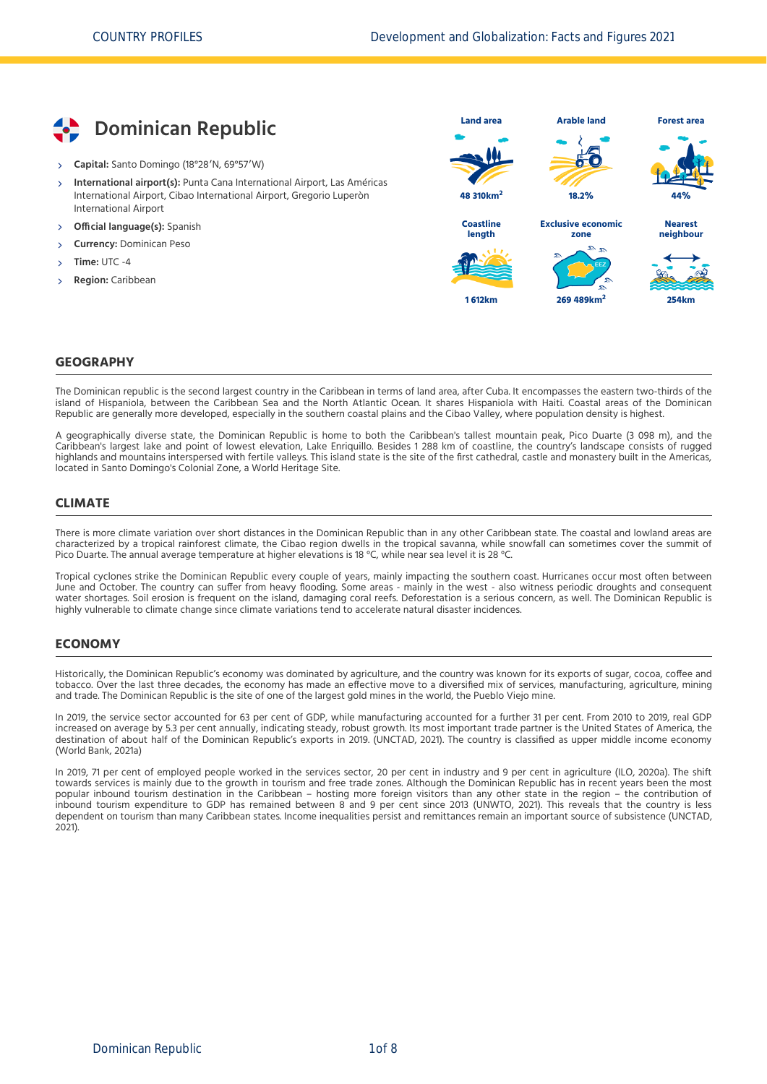

- **Capital:** Santo Domingo (18°28′N, 69°57′W)
- **International airport(s):** Punta Cana International Airport, Las Américas International Airport, Cibao International Airport, Gregorio Luperòn International Airport  $\overline{\phantom{a}}$
- **Official language(s):** Spanish
- **Currency:** Dominican Peso
- **Time:** UTC -4
- **Region:** Caribbean



### **GEOGRAPHY**

The Dominican republic is the second largest country in the Caribbean in terms of land area, after Cuba. It encompasses the eastern two-thirds of the island of Hispaniola, between the Caribbean Sea and the North Atlantic Ocean. It shares Hispaniola with Haiti. Coastal areas of the Dominican Republic are generally more developed, especially in the southern coastal plains and the Cibao Valley, where population density is highest.

A geographically diverse state, the Dominican Republic is home to both the Caribbean's tallest mountain peak, Pico Duarte (3 098 m), and the Caribbean's largest lake and point of lowest elevation, Lake Enriquillo. Besides 1 288 km of coastline, the country's landscape consists of rugged highlands and mountains interspersed with fertile valleys. This island state is the site of the first cathedral, castle and monastery built in the Americas, located in Santo Domingo's Colonial Zone, a World Heritage Site.

### **CLIMATE**

There is more climate variation over short distances in the Dominican Republic than in any other Caribbean state. The coastal and lowland areas are characterized by a tropical rainforest climate, the Cibao region dwells in the tropical savanna, while snowfall can sometimes cover the summit of Pico Duarte. The annual average temperature at higher elevations is 18 °C, while near sea level it is 28 °C.

Tropical cyclones strike the Dominican Republic every couple of years, mainly impacting the southern coast. Hurricanes occur most often between June and October. The country can suffer from heavy flooding. Some areas - mainly in the west - also witness periodic droughts and consequent water shortages. Soil erosion is frequent on the island, damaging coral reefs. Deforestation is a serious concern, as well. The Dominican Republic is highly vulnerable to climate change since climate variations tend to accelerate natural disaster incidences.

### **ECONOMY**

Historically, the Dominican Republic's economy was dominated by agriculture, and the country was known for its exports of sugar, cocoa, coffee and tobacco. Over the last three decades, the economy has made an effective move to a diversified mix of services, manufacturing, agriculture, mining and trade. The Dominican Republic is the site of one of the largest gold mines in the world, the Pueblo Viejo mine.

In 2019, the service sector accounted for 63 per cent of GDP, while manufacturing accounted for a further 31 per cent. From 2010 to 2019, real GDP increased on average by 5.3 per cent annually, indicating steady, robust growth. Its most important trade partner is the United States of America, the destination of about half of the Dominican Republic's exports in 2019. [\(UNCTAD, 2021\)](#page-7-0). The country is classified as upper middle income economy [\(World Bank, 2021a\)](#page-7-1)

In 2019, 71 per cent of employed people worked in the services sector, 20 per cent in industry and 9 per cent in agriculture [\(ILO, 2020a\)](#page-7-2). The shift towards services is mainly due to the growth in tourism and free trade zones. Although the Dominican Republic has in recent years been the most popular inbound tourism destination in the Caribbean – hosting more foreign visitors than any other state in the region – the contribution of inbound tourism expenditure to GDP has remained between 8 and 9 per cent since 2013 [\(UNWTO, 2021\).](#page-7-3) This reveals that the country is less [dependent on tourism than many Caribbean states. Income inequalities persist and remittances remain an important source of subsistence \(UNCTAD,](#page-7-0) 2021).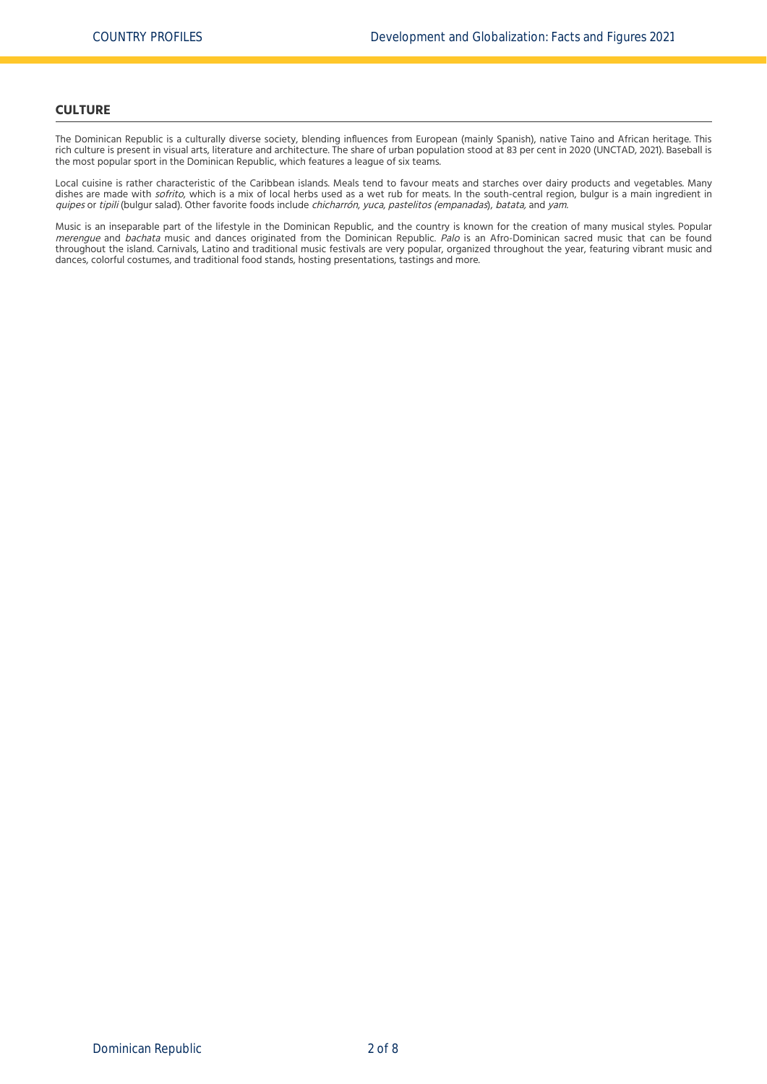### **CULTURE**

The Dominican Republic is a culturally diverse society, blending influences from European (mainly Spanish), native Taino and African heritage. This rich culture is present in visual arts, literature and architecture. The share of urban population stood at 83 per cent in 2020 [\(UNCTAD, 2021\).](#page-7-0) Baseball is the most popular sport in the Dominican Republic, which features a league of six teams.

Local cuisine is rather characteristic of the Caribbean islands. Meals tend to favour meats and starches over dairy products and vegetables. Many dishes are made with sofrito, which is a mix of local herbs used as a wet rub for meats. In the south-central region, bulgur is a main ingredient in quipes or tipili (bulgur salad). Other favorite foods include chicharrón, yuca, pastelitos (empanadas), batata, and yam.

Music is an inseparable part of the lifestyle in the Dominican Republic, and the country is known for the creation of many musical styles. Popular merengue and bachata music and dances originated from the Dominican Republic. Palo is an Afro-Dominican sacred music that can be found throughout the island. Carnivals, Latino and traditional music festivals are very popular, organized throughout the year, featuring vibrant music and dances, colorful costumes, and traditional food stands, hosting presentations, tastings and more.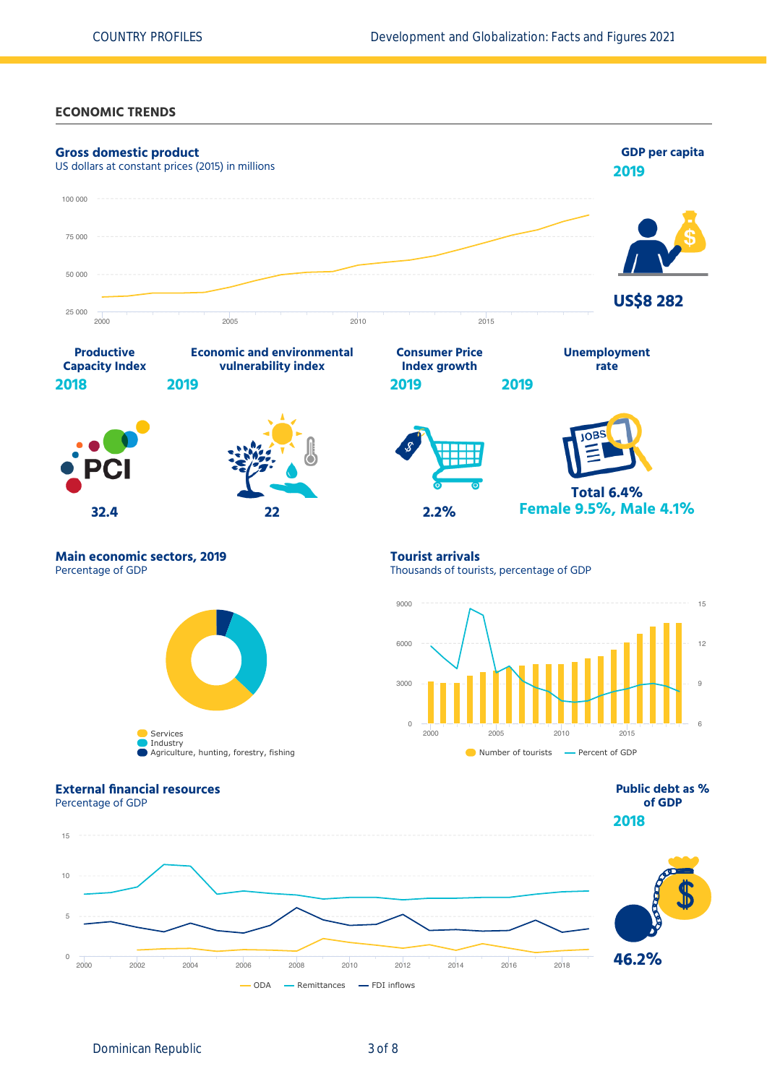### **ECONOMIC TRENDS**

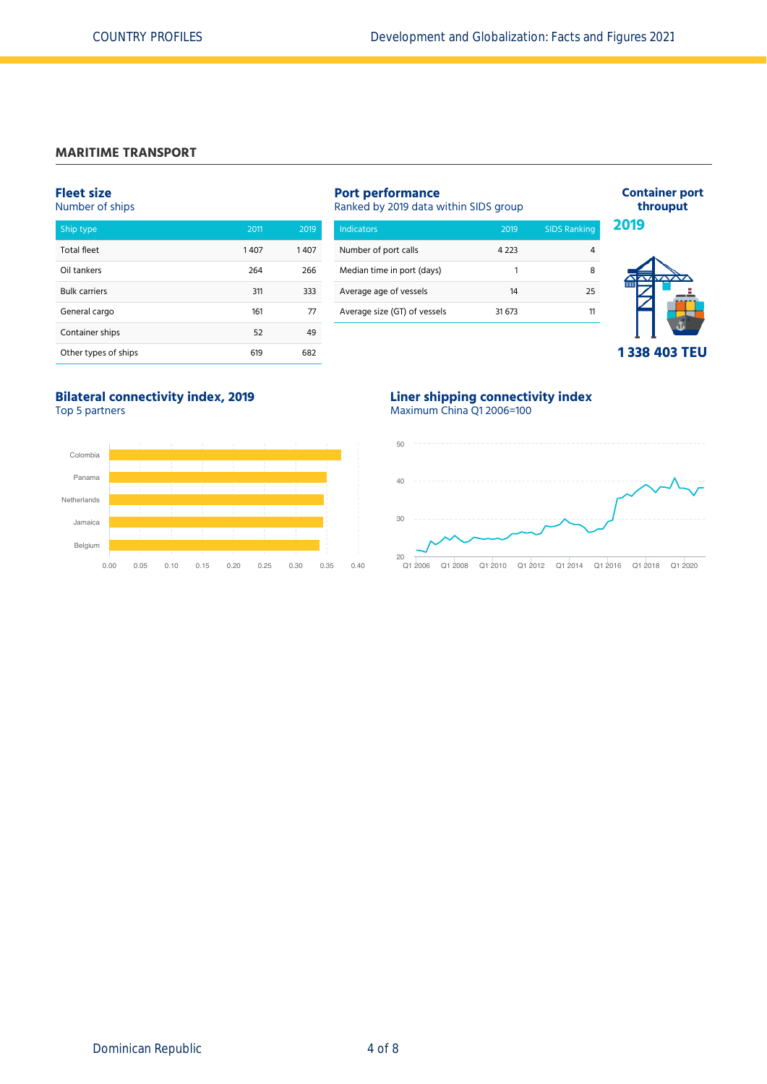# **MARITIME TRANSPORT**

# **Fleet size**

Number of ships

| Ship type            | 2011 | 2019 |
|----------------------|------|------|
| <b>Total fleet</b>   | 1407 | 1407 |
| Oil tankers          | 264  | 266  |
| <b>Bulk carriers</b> | 311  | 333  |
| General cargo        | 161  | 77   |
| Container ships      | 52   | 49   |
| Other types of ships | 619  | 682  |

| <b>Port performance</b><br>Ranked by 2019 data within SIDS group |        |                     |  |  |  |
|------------------------------------------------------------------|--------|---------------------|--|--|--|
| Indicators                                                       | 2019   | <b>SIDS Ranking</b> |  |  |  |
| Number of port calls                                             | 4.223  | 4                   |  |  |  |
| Median time in port (days)                                       | 1      | 8                   |  |  |  |
| Average age of vessels                                           | 14     | 25                  |  |  |  |
| Average size (GT) of vessels                                     | 31 673 | 11                  |  |  |  |
|                                                                  |        |                     |  |  |  |



**Container port throuput**

**2019**

**Bilateral connectivity index, 2019** Top 5 partners



## **Liner shipping connectivity index** Maximum China Q1 2006=100

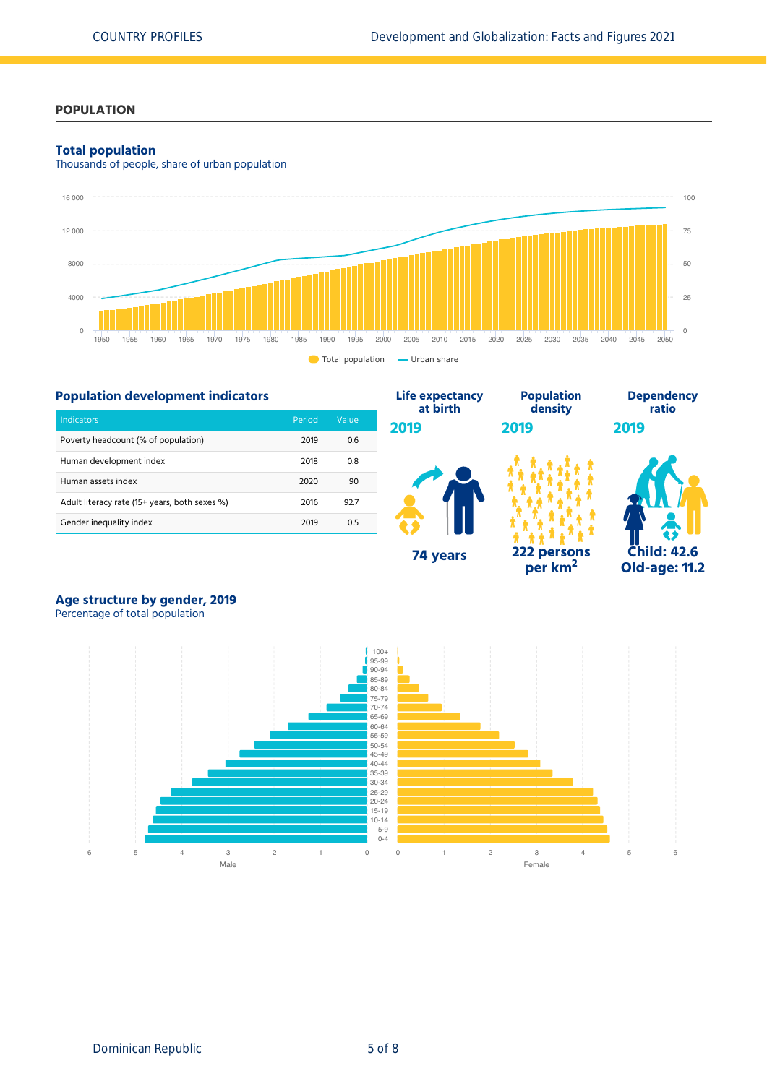### **POPULATION**

### **Total population**

Thousands of people, share of urban population



#### **Population development indicators** Indicators Period Value Poverty headcount (% of population) 2019 0.6 Human development index 1992 100 100 2018 10.8 Human assets index 2020 90 Adult literacy rate (15+ years, both sexes %) 2016 92.7 Gender inequality index 2019 0.5 **Life expectancy at birth 2019 74 years Population density 2019 222 persons per km<sup>2</sup> Dependency ratio 2019 Child: 42.6 Old-age: 11.2**

# **Age structure by gender, 2019**

Percentage of total population

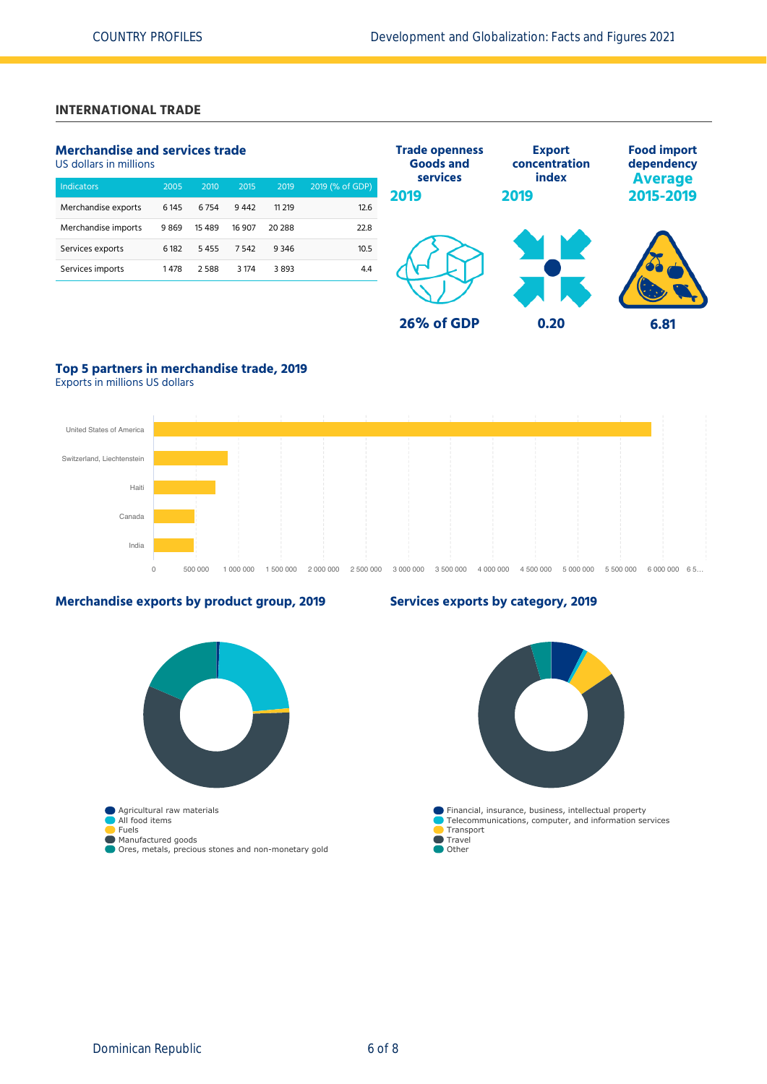# **INTERNATIONAL TRADE**

## **Merchandise and services trade**

US dollars in millions

| <b>Indicators</b>   | 2005    | 2010     | 2015    | 2019   | 2019 (% of GDP) |
|---------------------|---------|----------|---------|--------|-----------------|
| Merchandise exports | 6 1 4 5 | 6754     | 9442    | 11 219 | 12.6            |
| Merchandise imports | 9869    | 15 4 8 9 | 16 907  | 20 288 | 22.8            |
| Services exports    | 6 182   | 5455     | 7542    | 9346   | 10.5            |
| Services imports    | 1478    | 2588     | 3 1 7 4 | 3893   | 4.4             |
|                     |         |          |         |        |                 |



# **Top 5 partners in merchandise trade, 2019**

Exports in millions US dollars



# **Merchandise exports by product group, 2019**

### **Services exports by category, 2019**

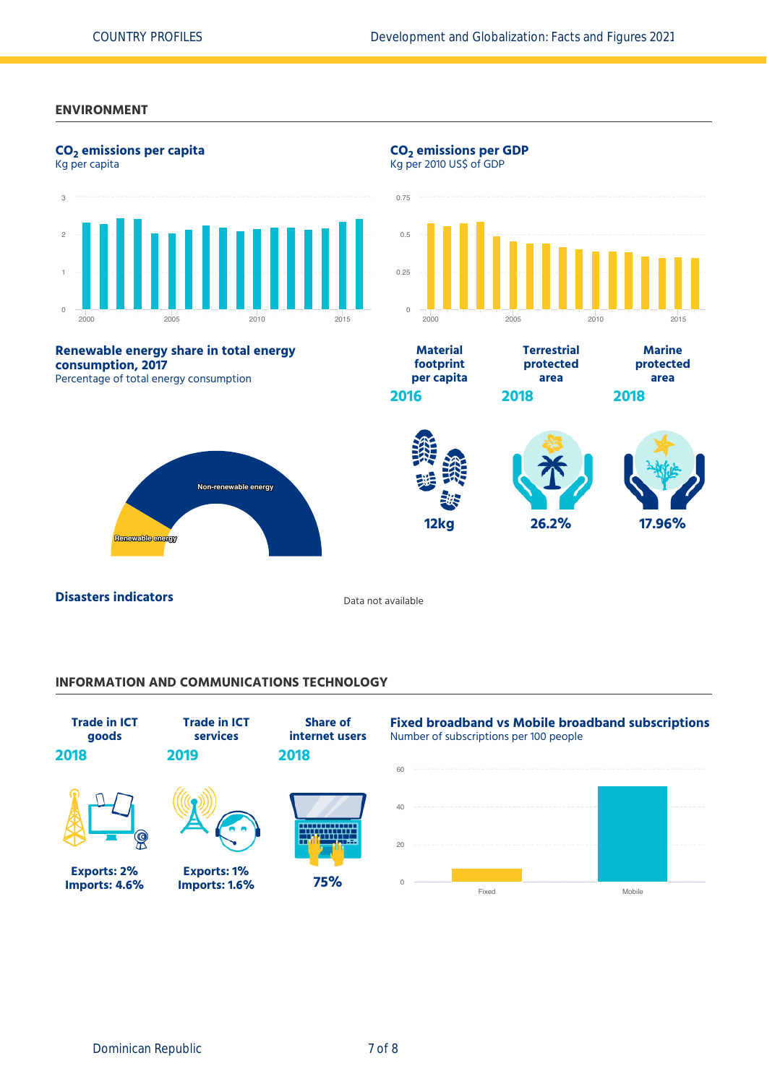### **ENVIRONMENT**

![](_page_6_Figure_3.jpeg)

# **INFORMATION AND COMMUNICATIONS TECHNOLOGY**

![](_page_6_Figure_5.jpeg)

Dominican Republic 7 of 8